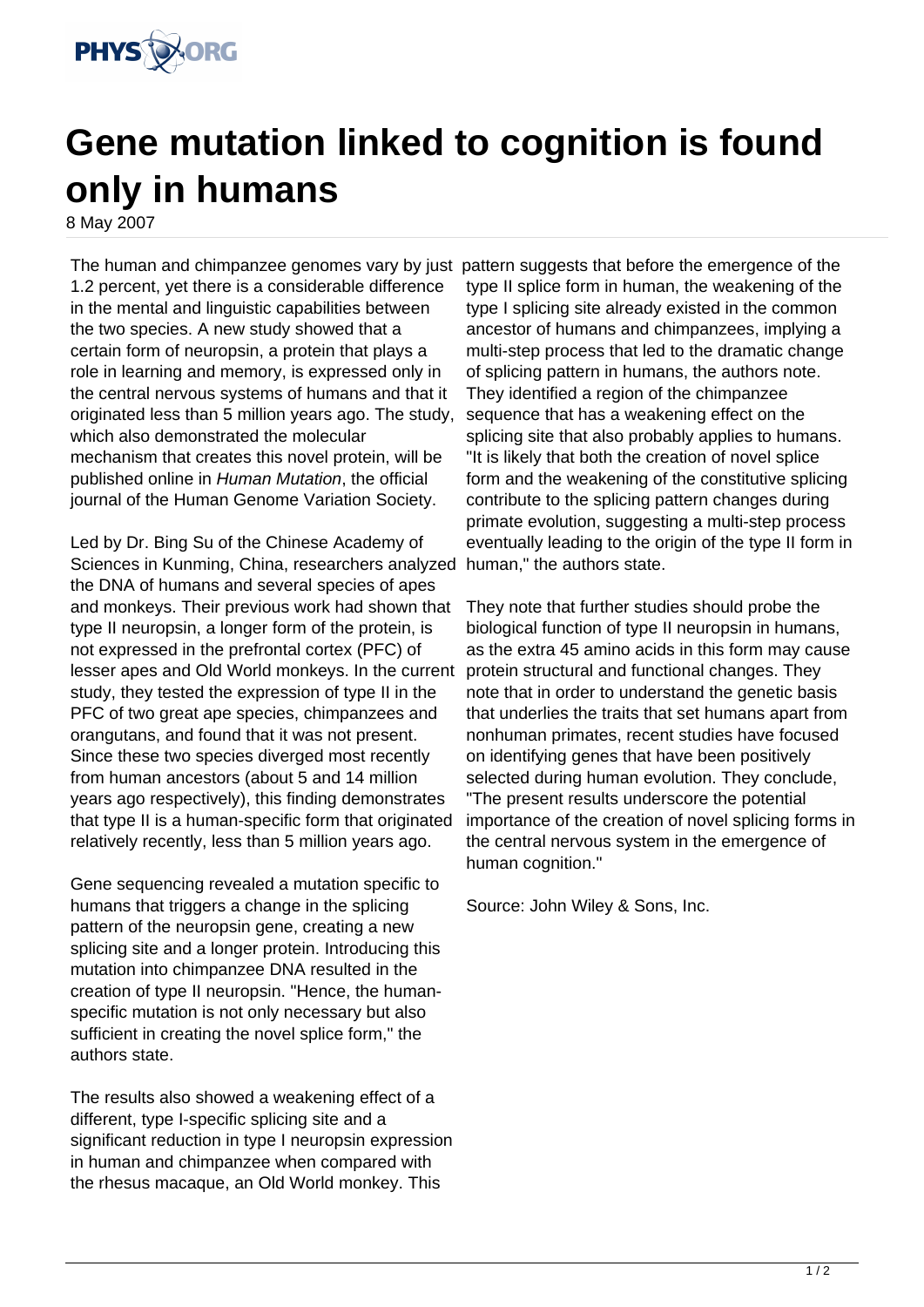

## **Gene mutation linked to cognition is found only in humans**

8 May 2007

The human and chimpanzee genomes vary by just pattern suggests that before the emergence of the 1.2 percent, yet there is a considerable difference in the mental and linguistic capabilities between the two species. A new study showed that a certain form of neuropsin, a protein that plays a role in learning and memory, is expressed only in the central nervous systems of humans and that it originated less than 5 million years ago. The study, which also demonstrated the molecular mechanism that creates this novel protein, will be published online in Human Mutation, the official journal of the Human Genome Variation Society.

Led by Dr. Bing Su of the Chinese Academy of Sciences in Kunming, China, researchers analyzed human," the authors state. the DNA of humans and several species of apes and monkeys. Their previous work had shown that type II neuropsin, a longer form of the protein, is not expressed in the prefrontal cortex (PFC) of lesser apes and Old World monkeys. In the current study, they tested the expression of type II in the PFC of two great ape species, chimpanzees and orangutans, and found that it was not present. Since these two species diverged most recently from human ancestors (about 5 and 14 million years ago respectively), this finding demonstrates that type II is a human-specific form that originated relatively recently, less than 5 million years ago.

Gene sequencing revealed a mutation specific to humans that triggers a change in the splicing pattern of the neuropsin gene, creating a new splicing site and a longer protein. Introducing this mutation into chimpanzee DNA resulted in the creation of type II neuropsin. "Hence, the humanspecific mutation is not only necessary but also sufficient in creating the novel splice form," the authors state.

The results also showed a weakening effect of a different, type I-specific splicing site and a significant reduction in type I neuropsin expression in human and chimpanzee when compared with the rhesus macaque, an Old World monkey. This

type II splice form in human, the weakening of the type I splicing site already existed in the common ancestor of humans and chimpanzees, implying a multi-step process that led to the dramatic change of splicing pattern in humans, the authors note. They identified a region of the chimpanzee sequence that has a weakening effect on the splicing site that also probably applies to humans. "It is likely that both the creation of novel splice form and the weakening of the constitutive splicing contribute to the splicing pattern changes during primate evolution, suggesting a multi-step process eventually leading to the origin of the type II form in

They note that further studies should probe the biological function of type II neuropsin in humans, as the extra 45 amino acids in this form may cause protein structural and functional changes. They note that in order to understand the genetic basis that underlies the traits that set humans apart from nonhuman primates, recent studies have focused on identifying genes that have been positively selected during human evolution. They conclude, "The present results underscore the potential importance of the creation of novel splicing forms in the central nervous system in the emergence of human cognition."

Source: John Wiley & Sons, Inc.